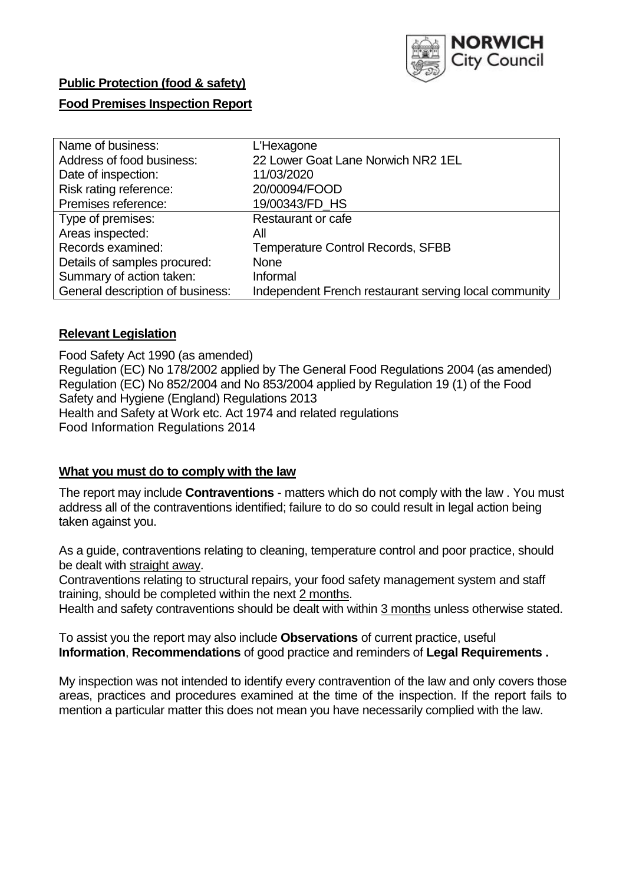

# **Public Protection (food & safety)**

## **Food Premises Inspection Report**

| Name of business:                | L'Hexagone                                            |
|----------------------------------|-------------------------------------------------------|
| Address of food business:        | 22 Lower Goat Lane Norwich NR2 1EL                    |
| Date of inspection:              | 11/03/2020                                            |
| Risk rating reference:           | 20/00094/FOOD                                         |
| Premises reference:              | 19/00343/FD_HS                                        |
| Type of premises:                | Restaurant or cafe                                    |
| Areas inspected:                 | Αll                                                   |
| Records examined:                | <b>Temperature Control Records, SFBB</b>              |
| Details of samples procured:     | <b>None</b>                                           |
| Summary of action taken:         | Informal                                              |
| General description of business: | Independent French restaurant serving local community |

#### **Relevant Legislation**

Food Safety Act 1990 (as amended) Regulation (EC) No 178/2002 applied by The General Food Regulations 2004 (as amended) Regulation (EC) No 852/2004 and No 853/2004 applied by Regulation 19 (1) of the Food Safety and Hygiene (England) Regulations 2013 Health and Safety at Work etc. Act 1974 and related regulations Food Information Regulations 2014

#### **What you must do to comply with the law**

The report may include **Contraventions** - matters which do not comply with the law . You must address all of the contraventions identified; failure to do so could result in legal action being taken against you.

As a guide, contraventions relating to cleaning, temperature control and poor practice, should be dealt with straight away.

Contraventions relating to structural repairs, your food safety management system and staff training, should be completed within the next 2 months.

Health and safety contraventions should be dealt with within 3 months unless otherwise stated.

To assist you the report may also include **Observations** of current practice, useful **Information**, **Recommendations** of good practice and reminders of **Legal Requirements .**

My inspection was not intended to identify every contravention of the law and only covers those areas, practices and procedures examined at the time of the inspection. If the report fails to mention a particular matter this does not mean you have necessarily complied with the law.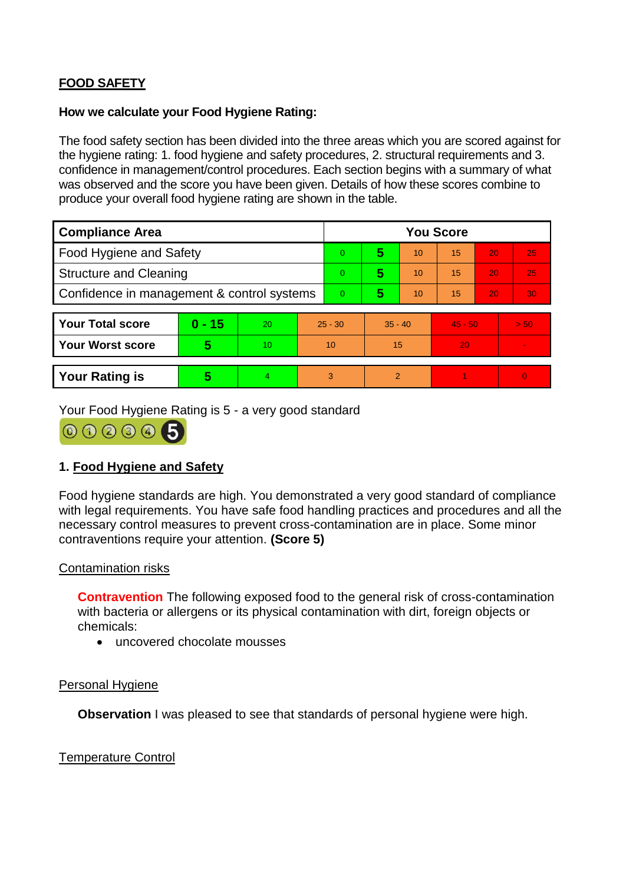# **FOOD SAFETY**

#### **How we calculate your Food Hygiene Rating:**

The food safety section has been divided into the three areas which you are scored against for the hygiene rating: 1. food hygiene and safety procedures, 2. structural requirements and 3. confidence in management/control procedures. Each section begins with a summary of what was observed and the score you have been given. Details of how these scores combine to produce your overall food hygiene rating are shown in the table.

| <b>Compliance Area</b>                     |          |    |                | <b>You Score</b> |                |    |           |    |                |  |
|--------------------------------------------|----------|----|----------------|------------------|----------------|----|-----------|----|----------------|--|
| <b>Food Hygiene and Safety</b>             |          |    | 0              | 5                | 10             | 15 | 20        | 25 |                |  |
| <b>Structure and Cleaning</b>              |          |    | $\Omega$       | 5                | 10             | 15 | 20        | 25 |                |  |
| Confidence in management & control systems |          |    | $\overline{0}$ | 5                | 10             | 15 | 20        | 30 |                |  |
|                                            |          |    |                |                  |                |    |           |    |                |  |
| <b>Your Total score</b>                    | $0 - 15$ | 20 | $25 - 30$      |                  | $35 - 40$      |    | $45 - 50$ |    | > 50           |  |
| <b>Your Worst score</b>                    | 5        | 10 | 10             |                  | 15             |    | 20        |    | $\blacksquare$ |  |
|                                            |          |    |                |                  |                |    |           |    |                |  |
| <b>Your Rating is</b>                      | 5        | 4. | 3              |                  | $\overline{2}$ |    |           |    | $\overline{0}$ |  |

Your Food Hygiene Rating is 5 - a very good standard



# **1. Food Hygiene and Safety**

Food hygiene standards are high. You demonstrated a very good standard of compliance with legal requirements. You have safe food handling practices and procedures and all the necessary control measures to prevent cross-contamination are in place. Some minor contraventions require your attention. **(Score 5)**

#### Contamination risks

**Contravention** The following exposed food to the general risk of cross-contamination with bacteria or allergens or its physical contamination with dirt, foreign objects or chemicals:

uncovered chocolate mousses

#### Personal Hygiene

**Observation** I was pleased to see that standards of personal hygiene were high.

Temperature Control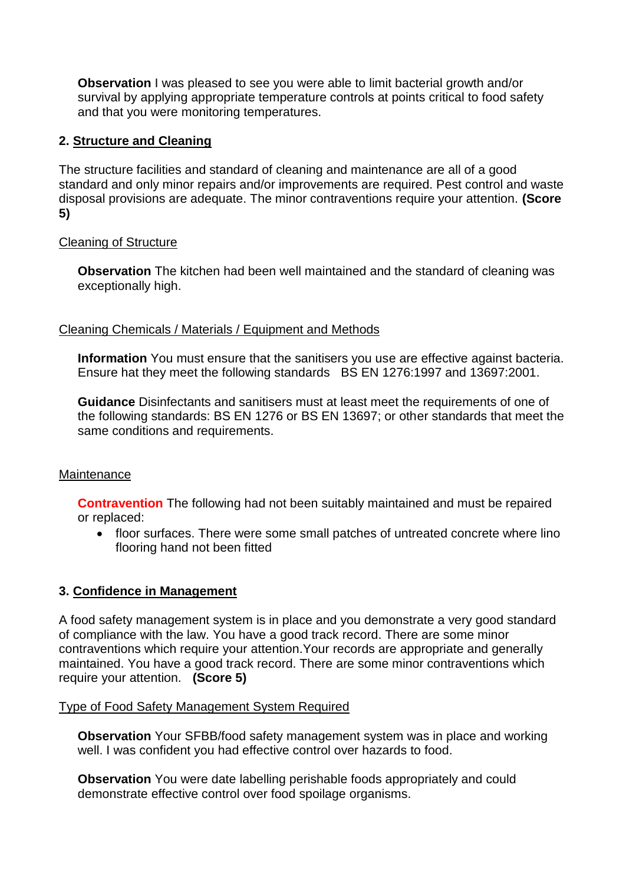**Observation** I was pleased to see you were able to limit bacterial growth and/or survival by applying appropriate temperature controls at points critical to food safety and that you were monitoring temperatures.

# **2. Structure and Cleaning**

The structure facilities and standard of cleaning and maintenance are all of a good standard and only minor repairs and/or improvements are required. Pest control and waste disposal provisions are adequate. The minor contraventions require your attention. **(Score 5)**

#### Cleaning of Structure

**Observation** The kitchen had been well maintained and the standard of cleaning was exceptionally high.

#### Cleaning Chemicals / Materials / Equipment and Methods

**Information** You must ensure that the sanitisers you use are effective against bacteria. Ensure hat they meet the following standards BS EN 1276:1997 and 13697:2001.

**Guidance** Disinfectants and sanitisers must at least meet the requirements of one of the following standards: BS EN 1276 or BS EN 13697; or other standards that meet the same conditions and requirements.

#### **Maintenance**

**Contravention** The following had not been suitably maintained and must be repaired or replaced:

 floor surfaces. There were some small patches of untreated concrete where lino flooring hand not been fitted

#### **3. Confidence in Management**

A food safety management system is in place and you demonstrate a very good standard of compliance with the law. You have a good track record. There are some minor contraventions which require your attention.Your records are appropriate and generally maintained. You have a good track record. There are some minor contraventions which require your attention. **(Score 5)**

#### Type of Food Safety Management System Required

**Observation** Your SFBB/food safety management system was in place and working well. I was confident you had effective control over hazards to food.

**Observation** You were date labelling perishable foods appropriately and could demonstrate effective control over food spoilage organisms.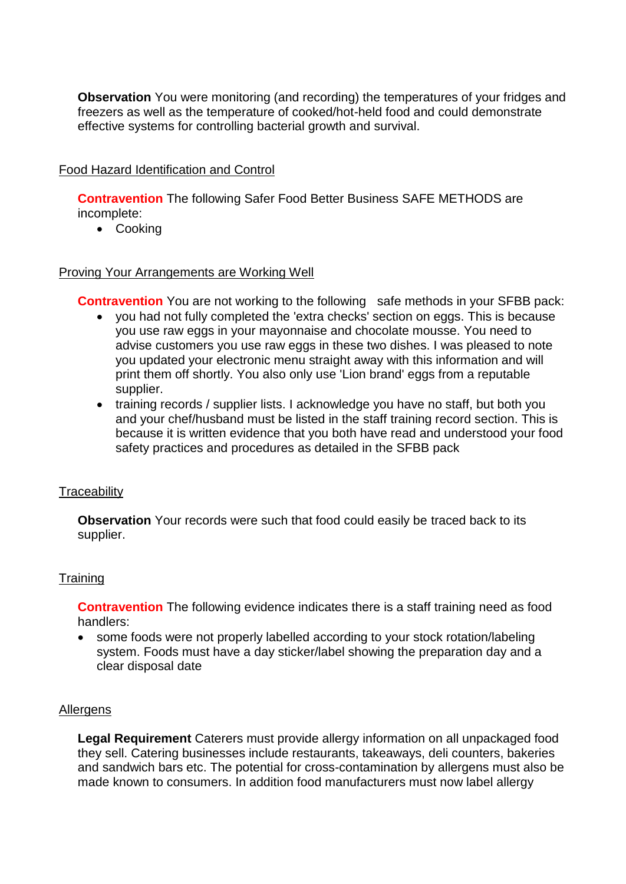**Observation** You were monitoring (and recording) the temperatures of your fridges and freezers as well as the temperature of cooked/hot-held food and could demonstrate effective systems for controlling bacterial growth and survival.

## Food Hazard Identification and Control

**Contravention** The following Safer Food Better Business SAFE METHODS are incomplete:

• Cooking

#### Proving Your Arrangements are Working Well

**Contravention** You are not working to the following safe methods in your SFBB pack:

- you had not fully completed the 'extra checks' section on eggs. This is because you use raw eggs in your mayonnaise and chocolate mousse. You need to advise customers you use raw eggs in these two dishes. I was pleased to note you updated your electronic menu straight away with this information and will print them off shortly. You also only use 'Lion brand' eggs from a reputable supplier.
- training records / supplier lists. I acknowledge you have no staff, but both you and your chef/husband must be listed in the staff training record section. This is because it is written evidence that you both have read and understood your food safety practices and procedures as detailed in the SFBB pack

#### **Traceability**

**Observation** Your records were such that food could easily be traced back to its supplier.

#### **Training**

**Contravention** The following evidence indicates there is a staff training need as food handlers:

 some foods were not properly labelled according to your stock rotation/labeling system. Foods must have a day sticker/label showing the preparation day and a clear disposal date

#### Allergens

**Legal Requirement** Caterers must provide allergy information on all unpackaged food they sell. Catering businesses include restaurants, takeaways, deli counters, bakeries and sandwich bars etc. The potential for cross-contamination by allergens must also be made known to consumers. In addition food manufacturers must now label allergy